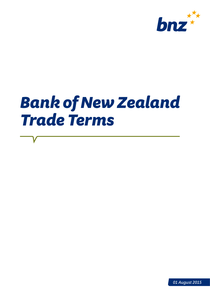

# *Bank of New Zealand Trade Terms*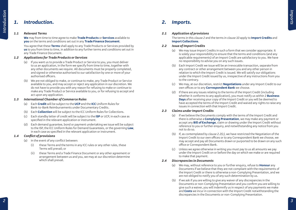## Introduction *Introduction*

### *1. Introduction. 2. Imports.*

### *1.1 Relevant Terms*

**We** may from time to time agree to make **Trade Products** or **Services** available to **you** on the terms and conditions set out in any **Trade Finance Document**.

You agree that these **Terms** shall apply to any Trade Products or Services provided by **us** to you from time to time, in addition to any further terms and conditions set out in any Trade Finance Document.

### *1.2 Applications for Trade Products or Services*

- (a) If you want us to provide a Trade Product or Service to you, you must deliver to us an application, in the form we specify from time to time, together with any other documents we require. All documents must be properly completed, and signed or otherwise authorised to our satisfaction by one or more of your authorised officers.
- (b) We are not obliged to make, or continue to make, any Trade Product or Service available to you, and may accept or reject any application in our discretion. We do not have to provide you with any reason for refusing to make or continue to make any Trade Product or Service available to you, or for refusing to accept and act upon any application.

### *1.3 International Chamber of Commerce Rules*

- (a) Each **Credit** will be subject to the **UCP** and the **ICC** Uniform Rules for Bank-to-Bank Reimbursements under Documentary Credits.
- (b) Each **Collection** will be subject to the ICC Uniform Rules for Collections.
- (c) Each standby letter of credit will be subject to the **ISP** or UCP, in each case as specified in the relevant application or instrument.
- (d) Each demand guarantee, bond or payment undertaking we issue will be subject to the ISP, the ICC Uniform Rules for Demand Guarantees, or the governing **Law**, in each case as specified in the relevant application or instrument.

### *1.4 Conflict of provisions*

- (a) In the event of any conflict between:
	- (i) these Terms and the terms in any ICC rules or any other rules, these Terms will prevail; or
	- (ii) these Terms and a Trade Finance Document or any other agreement or arrangement between us and you, we may at our discretion determine which shall prevail.

### *2.1 Application of provisions*

The terms in this *clause 2* and the terms in *clause 10* apply to **Import Credits** and **Import Collections**.

### *2.2 Issue of Import Credits*

- (a) We may issue Import Credits in such a form that we consider appropriate. It is solely your responsibility to ensure that the terms and conditions (and any applicable requirements) of an Import Credit are satisfactory to you. We have no responsibility to advise you on any such issues.
- (b) Each Import Credit we issue will be an irrevocable transaction, separate from any contract or other arrangement between you and any other person in relation to which the Import Credit is issued. We will satisfy our obligations under the Import Credit issued by us, irrespective of any instructions from you to the contrary.
- (c) We may, at our discretion, restrict **Negotiations** under any Import Credit to our own offices or to any **Correspondent Bank** we choose.
- (d) If there are any issues relating to the terms of the Import Credit (including whether it conforms to any application), you must notify us within 2 **Business Days** after receiving your copy of the Import Credit or you will be deemed to have accepted the terms of the Import Credit and waived any rights to raise any issues in connection with that Import Credit.

### *2.3 Claims under Import Credits*

- (a) If we believe the Documents comply with the terms of the Import Credit and there is otherwise a **Complying Presentation**, we may make any payment or accept any **Bill of Exchange**, claim or drawing under the Import Credit without reference to you or further enquiry, and notwithstanding any notice from you not to do so.
- (b) If, as contemplated by *clause 2.2(c)*, we have restricted the Negotiation of the Import Credit to our own offices or to any Correspondent Bank we choose, we may accept and pay all Documents drawn or purported to be drawn on any such office or Correspondent Bank.
- (c) Unless we agree otherwise in writing you must pay to us all amounts we pay under the Import Credit on or before the day on which we make or are required to make that payment.

### *2.4 Discrepancies in Documents*

- (a) We may, without reference to you or further enquiry, refuse to **Honour** any Documents if we believe that they are not compliant with the requirements of the Import Credit or there is otherwise a non-Complying Presentation, and we are not obliged to notify you of any such determination by us.
- (b) If we ask if you are willing to give any waiver of any discrepancies in the Documents or non-Complying Presentation and you confirm you are willing to give such a waiver, you will indemnify us in respect of any payments we make and **Costs** we incur in connection with the Import Credit notwithstanding the discrepancies in the Documents or non-Complying Presentation.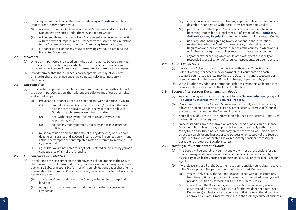- (c) If you request us to authorise the release or delivery of **Goods** subject to an Import Credit, and we agree, you:
	- (i) waive all discrepancies in relation to the Documents and accept all such Documents Presented under the relevant Import Credit;
	- (ii) will indemnify us in respect of any Costs we suffer or incur in connection with the relevant Import Credit, irrespective of discrepancies in relation to the Documents or any other non-Complying Presentation; and
	- (iii) authorise us to Honour any relevant drawings without examining the Presented Documents.

### *2.5 Insurance*

- (a) Where an Import Credit is issued on the basis of 'insurance buyer's care' you must insure the Goods to our satisfaction from loss or capture at sea and provide such evidence of insurance, its terms, and its currency as we request.
- (b) If we determine that the insurance is not acceptable, we may, at your cost, arrange further or other insurance (including war risk) in connection with the Goods.

### *2.6 Our remedies*

- (a) If you fail to comply with your obligations to us in connection with an Import Credit or Import Collection, then without prejudice to any of our other rights and remedies, you:
	- (i) irrevocably authorise us at our discretion and without notice to you to:
		- (1) land, dock, store, transport, insure and/or sell or otherwise dispose of the relevant Goods, or any part of the relevant Goods, on such terms as we think fit; and/or
		- (2) deal with the relevant Documents in any way we think appropriate; and/or
		- (3) collect any money payable under any applicable insurance policies;
	- (ii) must pay to us on demand the amount of any deficiency on such sale, dealing or insurance and all Costs incurred by us in connection with any actual or attempted or contemplated matters referred to in *clause 2.6(a) (i)* above; and
	- (iii) agree that we are not liable for any Costs suffered or incurred by you as a consequence of any of the foregoing.

### *2.7 Limit on our responsibilities*

- (a) In addition to the disclaimer on the effectiveness of documents in the UCP, to the maximum extent permitted by Law, neither we nor our correspondents or agents are liable or responsible for, nor will your obligations under these Terms or in relation to any Import Credit be reduced, terminated or affected in any way adverse to us by:
	- (i) any carriers' fees in relation to the Goods, including for storage and landing;
	- (ii) our granting of any time, credit, indulgence or other concession to any person;
- (iii) any failure of any person to obtain any approval or licence necessary or desirable in connection with these Terms or the Import Credit;
- (iv) performance of the Import Credit or any other agreement being or becoming impossible or illegal as result of any act of any **Regulatory Authority**, or any **Regulation** affecting the terms of the Import Credit;
- (v) us or any other bank agreeing to any variations in the instructions relating to the Import Credit made necessary or desirable by the Regulations and/or commercial practice of the country in which any Bill of Exchange is Negotiated or Presented for acceptance or payment; or
- (vi) any other matter or thing which would otherwise affect the liability or responsibility or obligations of us, our correspondents, our agents or you.

### *2.8 Import Collections*

- (a) If we act as a Collecting bank in connection with Import Collections and Bills of Exchange for acceptance or payment, or Documents on a cash against Documents basis, we may hold the Documents until acceptance or reimbursement of the relevant Bills of Exchange, or payment, by you.
- (b) We will outline any additional terms applicable to any Import Collection in the correspondence we attach to the Import Collection.

### *2.9 Security Interest over Documents and Goods*

- (a) As a continuing security for the payment to us of **Secured Moneys**, you grant us a **Security Interest** over the **Secured Property**.
- (b) You agree that until the Secured Moneys are paid in full, you will not create, allow to be created or permit to exist any other security interest in favour of anyone other than us over the Secured Property.
- (c) You will provide us with all the information relating to the Secured Property as we from time to time require.
- (d) Notwithstanding any other provision of these Terms or of any Trade Finance Document, but subject to any applicable Law, you irrevocably authorise us to at any time and without notice, enter any premises owned, occupied or used by you to search for and inspect or take possession or custody of the Secured Property or take such other steps as we reasonably consider necessary or desirable to protect our Security Interest.

### *2.10 Dealing with Documents and Goods*

- (a) The Goods will be entirely at your risk and we will not be responsible for any loss or damage or decrease in value of any Goods or Documents held by us as security or while they are in the possession, custody or control of us or our agents.
- (b) If we release any or all of the Documents to you to enable you to obtain delivery of the Goods prior to the payment in full of the Secured Moneys:
	- (i) you will only deal with the Goods in accordance with our instructions from time to time to protect our interests and, if required by us, you will provide us with a trust receipt on terms satisfactory to us;
	- (ii) you will hold the Documents, and the Goods when received, in safe custody and (in the case of Goods, but for the avoidance of doubt, not Documents) exclusively for the purpose of their sale or other disposition approved by us at full market value and in the ordinary course of business;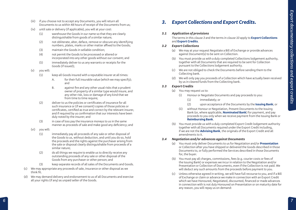- (iii) if you choose not to accept any Documents, you will return all Documents to us within 48 hours of receipt of the Documents from us;
- (iv) until sale or delivery (if applicable), you will at your cost:
	- (1) warehouse the Goods in our name so that they are clearly distinguishable from goods of a similar nature;
	- (2) not obliterate, alter, deface, remove or obscure any identifying numbers, plates, marks or other matter affixed to the Goods;
	- (3) maintain the Goods in sellable condition;
	- (4) not permit the Goods to be processed or altered or incorporated into any other goods without our consent; and
	- (5) immediately deliver to us any warrants or receipts for the Goods (if issued);
- (v) you will:
	- (1) keep all Goods insured with a reputable insurer at all times:
		- A. for their full insurable value (which we may specify); and
		- B. against fire and any other usual risks that a prudent owner of property of a similar type would insure, and any other risk, loss or damage of any kind that we from time to time require;
	- (2) deliver to us the policies or certificates of insurance for all such insurance or (if we consent) copies of those policies or certificates, certified as true and correct by the relevant insurer, and if required by us confirmation that our interests have been duly noted by the insurer; and
	- (3) in case of loss pay the insurance moneys to us in the same manner as proceeds of sale and make good any deficiency; and
- (vi) you will:
	- (1) immediately pay all proceeds of any sale or other disposal of the Goods to us, without deduction, and until you do so, hold the proceeds and the rights against the purchaser arising from the sale or disposal clearly distinguishable from proceeds of a similar nature;
	- (2) do all things we require to enable us to directly receive any outstanding proceeds of any sale or other disposal of the Goods from any purchaser or other person; and
	- (3) keep separate records of all sales of the Documents and Goods.
- (c) We may appropriate any proceeds of sale, insurance or other disposal as we think fit.
- (d) We may demand delivery and endorsement to us of all Documents and exercise all your rights (if any) as unpaid seller of the Goods.

### *3. Export Collections and Export Credits.*

### *3.1 Application of provisions*

The terms in this *clause 3* and the terms in *clause 10* apply to **Export Collections** and **Export Credits** .

### *3.2 Export Collections*

- (a) We may at your request Negotiate a Bill of Exchange or provide advances against Document(s) to be sent on Collection.
- (b) You must provide us with a duly completed Collections lodgement authority, together with all Documents that are required to be sent for Collection pursuant to the Collections lodgement authority.
- (c) We are not obliged to check the Documents before sending them to the Collecting bank.
- (d) We will only pay you proceeds of a Collection which have actually been received by us in cleared funds from the Collecting bank.

### *3.3 Export Credits*

- (a) You may request us to:
	- (i) Honour or Negotiate Documents and pay proceeds to you:
		- (1) immediately; or
		- (2) upon acceptance of the Documents by the **Issuing Bank**; or
	- (ii) without Honour or Negotiation, Present Documents to the Issuing Bank (or, where applicable, **Nominated Bank**) for payment, and pay proceeds to you only when we receive payment from the Issuing Bank or **Reimbursing Bank** .
- (b) You must provide us with a duly completed Export Credit lodgement authority together with all Documents required under the Export Credit including, if we are not the **Advising Bank**, the originals of the Export Credit and all amendments to it.

### *3.4 Negotiation and/or advances against Documents*

- (a) You must only deliver Documents to us for Negotiation and/or **Presentation** or Collection after you have shipped or delivered the Goods described in those Documents to, or fully performed the Services described in those Documents for, the buyer.
- (b) You must pay all charges, commissions, fees (e.g. courier costs or fees of the Issuing Bank) or expenses we incur in relation to the Negotiation and/or Presentation or Collection of Documents, even if the Collection is not paid. We will deduct any such amounts from the proceeds before payment to you.
- (c) Unless otherwise agreed in writing, we will have full recourse to you, and if a Bill of Exchange or claim or advance we make in connection with an Export Credit which we have Honoured, Negotiated, discounted, financed or made advances in connection with is not duly Honoured on Presentation or on maturity date for any reason, you will repay us on demand: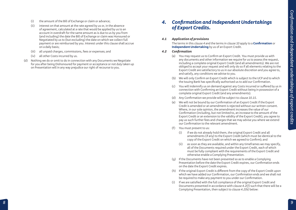- (i) the amount of the Bill of Exchange or claim or advance;
- (ii) interest on that amount at the rate agreed by us or, in the absence of agreement, calculated at a rate that would be applied by us to an account in overdraft for the same amount as is due to us by you from (and including) the date the Bill of Exchange or claim was Honoured or Negotiated by us to (but excluding) the date on which we collect full payment or are reimbursed by you. Interest under this clause shall accrue on a daily basis;
- (iii) all unpaid charges, commissions, fees or expenses; and
- (iv) all other Costs incurred by us.
- (d) Nothing we do or omit to do in connection with any Documents we Negotiate for you after being Dishonoured for payment or acceptance or not duly taken up on Presentation will in any way prejudice our right of recourse to you.

### *4. Confirmation and Independent Undertakings of Export Credits.*

### *4.1 Application of provisions*

The terms in this *clause 4* and the terms in *clause 10* apply to a **Confirmation** or **Independent Undertaking** by us of an Export Credit.

### *4.2 Confirmation*

- (a) You may request us to Confirm an Export Credit. You must provide us with any documents and other information we require for us to assess the request, including a complete original Export Credit (and all amendments). We are not obliged to accept your request and will only do so if all elements relating to the Export Credit are satisfactory to us in our absolute discretion and you agree to, and satisfy, any conditions we advise to you.
- (b) We will only Confirm an Export Credit which is subject to the UCP and to which the Issuing Bank has specifically authorised us to add our Confirmation.
- (c) You will indemnify us on demand against any Costs incurred or suffered by us in connection with Confirming an Export Credit without being in possession of a complete original Export Credit (and any amendments).
- (d) Any Confirmation we provide will be subject to *clause 10.15.*
- (e) We will not be bound by our Confirmation of an Export Credit if the Export Credit is amended or an amendment is rejected without our written consent. Where, in our sole opinion, the amendment increases the value of our Confirmation (including, but not limited to, an increase to the amount of the Export Credit or an extension to the validity of the Export Credit), you agree to pay us such further fees and charges that we may advise you where we extend our Confirmation to the relevant amendment.
- (f) You must present to us:
	- (i) if we do not already hold them, the original Export Credit and all amendments (if any) to the Export Credit (which must be identical to the copy of the Export Credit on which we agreed to Confirm); and
	- (ii) as soon as they are available, and within any timeframes we may specify, all of the Documents required under the Export Credit, each of which must be fully compliant with the requirements of the Export Credit and otherwise enable a Complying Presentation.
- (g) If the Documents have not been presented so as to enable a Complying Presentation before the date the Export Credit expires, our Confirmation ends on the date the Export Credit expires.
- (h) If the original Export Credit is different from the copy of the Export Credit upon which we have added our Confirmation, our Confirmation ends and we shall not be required to make any payment to you under our Confirmation.
- (i) If we are satisfied with the full compliance of the original Export Credit and Documents presented in accordance with *clause 4.2(f)* such that there will be a Complying Presentation, then subject to *clause 4.2(k)* below: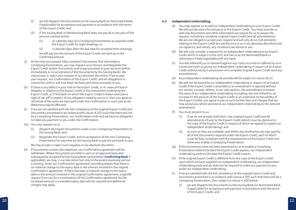- (i) we will dispatch the Documents to the Issuing Bank (or Nominated Bank, if applicable) for acceptance and payment in accordance with the terms of the Export Credit; and
- (ii) if the Issuing Bank or Reimbursing Bank does not pay all or any part of the amount claimed within:
	- (1) 21 calendar days of a Complying Presentation as required under the Export Credit for sight drawings; or
	- (2) 5 calendar days after the due date for accepted term drawings, we will pay you the amount of the Export Credit not paid up to the Confirmed amount.
- At the time you present fully compliant Documents that will enable a Complying Presentation, you may request us to Honour and Negotiate the Export Credit and/or Documents and to pay proceeds to your account (either immediately or on acceptance of the Documents by the Issuing Bank). We may accept or reject your request in our absolute discretion. If we accept your request, our Confirmation of the Export Credit, and all obligations in connection with it, will end when we have paid those proceeds to you.
- (k) If there is any defect in your title to the Export Credit, or in cases of fraud or illegality in relation to the Export Credit or the transaction underlying the Export Credit, or if the bank on which the Export Credit is drawn exercises a right of set-off in respect of any obligation owed by you to it, then you agree to refund all of the sums we have paid under the Confirmation or such part as we determine may be affected.
- (l) If we are not satisfied with the full compliance of the original Export Credit and Documents presented in accordance with *clause 4.2(f)* such that there will not be a Complying Presentation, our Confirmation ends and we have no obligation to make any payment to you under the Confirmation.
- (m) You may request us to:
	- (i) dispatch discrepant Documents under a non-Complying Presentation to the Issuing Bank; and
	- (ii) Negotiate the Export Credit, and on acceptance of the non-Complying Presentation for payment by the Issuing Bank to pay the proceeds to you.
	- We may accept or reject such requests in our absolute discretion.
- (n) If Documents contain discrepancies, our Confirmation agreement will be withdrawn. Where Documents are held or sent on an approval basis and subsequently accepted by the Issuing Bank (and another **Confirming Bank** if applicable), we may, in our discretion but only to the extent expressly set out in writing, retain our Confirmation agreement; providing always that there is no material change to the expiry date or the amount involved in the original Confirmation agreement. If there has been a material change to the expiry date or the amount involved in the original Confirmation agreement, a specific request from you for a continuation of the Confirmation agreement for the increased amount or extended expiry date will be required and additional charges may apply.

### *4.3 Independent Undertaking*

- (a) You may request us to add our Independent Undertaking to your Export Credit. We will not become a formal party to the Export Credit. You must provide us with any documents and other information we require for us to assess the request, including a complete original Export Credit (and all amendments). We are not obliged to accept your request and will only do so if all elements relating to the Export Credit are satisfactory to us in our absolute discretion and you agree to, and satisfy, any conditions we advise to you.
- (b) We will only consider a request for an Independent Undertaking to an Export Credit which is subject to the UCP, and has us as the Nominated Bank or otherwise is freely negotiable with any bank.
- (c) You will indemnify us on demand against any Costs incurred or suffered by us in connection with us giving our Independent Undertaking in respect of an Export Credit without being in possession of a complete original Export Credit (and any amendments).
- (d) Any Independent Undertaking we provide will be subject to *clause 10.15* .
- (e) We will not be bound by our Independent Undertaking in respect of an Export Credit if the Export Credit is amended or an amendment is rejected without our written consent. Where, in our sole opinion, the amendment increases the value of our Independent Undertaking (including, but not limited to, an increase to the amount of the Export Credit or an extension to the validity of the Export Credit), you agree to pay us such further fees and charges that we may advise you where we extend our Independent Undertaking to the relevant amendment.
- (f) You must present to us:
	- (i) if we do not already hold them, the original Export Credit and all amendments (if any) to the Export Credit (which must be identical to the copy of the Export Credit in respect of which we agreed to supply our Independent Undertaking); and
	- (ii) as soon as they are available, and within any timeframes we may specify, all of the Documents required under the Export Credit, each of which must be fully compliant with the requirements of the Export Credit and otherwise enable a Complying Presentation.
- (g) If the Documents have not been presented so as to enable a Complying Presentation before the date the Export Credit expires, our Independent Undertaking ends on the date the Export Credit expires.
- (h) If the original Export Credit is different from the copy of the Export Credit upon which we have supplied our Independent Undertaking, our Independent Undertaking ends and we shall not be required to make any payment to you under our Independent Undertaking.
- (i) If we are satisfied with the full compliance of the original Export Credit and Documents presented in accordance with *clause 4.3(f)* such that there will be a Complying Presentation, then subject to *clause 4.3(k)* below:
	- (i) we will dispatch the Documents to the Issuing Bank (or Nominated Bank, if applicable) for acceptance and payment in accordance with the terms of the Export Credit; and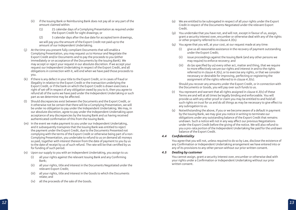- (ii) if the Issuing Bank or Reimbursing Bank does not pay all or any part of the amount claimed within:
	- (1) 21 calendar days of a Complying Presentation as required under the Export Credit for sight drawings; or
	- (2) 5 calendar days after the due date for accepted term drawings,

 we will pay you the amount of the Export Credit not paid up to the amount of our Independent Undertaking.

- (j) At the time you present fully compliant Documents that will enable a Complying Presentation, you may request us to Honour and Negotiate the Export Credit and/or Documents and to pay the proceeds to you (either immediately or on acceptance of the Documents by the Issuing Bank). We may accept or reject your request in our absolute discretion. If we accept your request our Independent Undertaking in respect of the Export Credit, and all obligations in connection with it, will end when we have paid those proceeds to you.
- (k) If there is any defect in your title to the Export Credit, or in cases of fraud or illegality in relation to the Export Credit or the transaction underlying the Export Credit, or if the bank on which the Export Credit is drawn exercises a right of set-off in respect of any obligation owed by you to it, then you agree to refund all of the sums we have paid under the Independent Undertaking or such part as we determine may be affected.
- (l) Should discrepancies exist between the Documents and the Export Credit, or it otherwise not be certain that there will be a Complying Presentation, we will be under no obligation to pay under the Independent Undertaking. We may, in our absolute discretion, agree to pay under the Independent Undertaking upon acceptance of any discrepancies by the Issuing Bank and us having received authenticated confirmation of this from the Issuing Bank.
- (m) In the event we make payment to you under our Independent Undertaking, and it subsequently transpires that the Issuing Bank was entitled to reject the payment under the Export Credit, due to the Documents Presented not complying with the terms of the Export Credit or otherwise being part of a non-Complying Presentation, you undertake to refund to us on demand all moneys so paid, together with interest thereon from the date of payment to you by us to the date of receipt by us of such refund. The rate will be that certified by us for funding of such period.
- (n) Upon our supply to you with an Independent Undertaking, you assign to us:
	- (i) all your rights against the relevant Issuing Bank and any Confirming Bank;
	- (ii) all your rights, title and interest in the Documents Negotiated under the relevant Export Credit;
	- (iii) all your rights, title and interest in the Goods to which the Documents relate; and
	- (iv) all the proceeds of the sale of the Goods.
- (o) We are entitled to be subrogated in respect of all your rights under the Export Credit in respect of the Documents Negotiated under the relevant Export Credit.
- (p) You undertake that you have not, and will not, except in favour of us, assign, grant a security interest over, encumber or otherwise deal with any of the rights or other property referred to in *clause 4.3(n)* .
- (q) You agree that you will, at your cost, at our request made at any time:
	- (i) give us all reasonable assistance in the recovery of payment outstanding under the Export Credit;
	- (ii) issue proceedings against the Issuing Bank (and any other persons we may require) to enforce recovery; and
	- (iii) do (as specified by us) every other act, matter and thing, that we require to more effectively secure our rights and interest in and to the rights referred to in *clause 4.3(n)*, or to exercise any rights, or that we consider necessary or desirable for improving, perfecting or registering the assignment of the rights referred to in *clause 4.3(n)* .

 Should you recover any amounts under the Export Credit, or in connection with the Documents or Goods, you will pay over such funds to us.

- (r) You represent and warrant that all rights assigned in *clause 4.3(n)* of these Terms are and will at all times be legally binding and enforceable. You will provide us with any other proof or claim you may be entitled to and hold all such rights on trust for us and do all things as may be necessary to give effect to any subrogation to us.
- (s) Notwithstanding the above, if you or we become aware of a default in payment by the Issuing Bank, we may give you notice in writing to terminate our obligations under any outstanding balance of the Export Credit that remains undrawn. Such a notice will not in any way affect our previous Negotiations under the Export Credit before the giving of the notice. We will also refund to you a pro-rata portion of the Independent Undertaking fee paid for the undrawn balance of the Export Credit.

### *4.4 Confidentiality*

You agree that you will not, unless required to do so by Law, disclose the existence of any Confirmation or Independent Undertaking arrangement we have entered into or any of its provisions to any other person without our prior written consent.

### *4.5 Dealing by customer*

You cannot assign, grant a security interest over, encumber or otherwise deal with your rights under a Confirmation or Independent Undertaking without our prior written consent.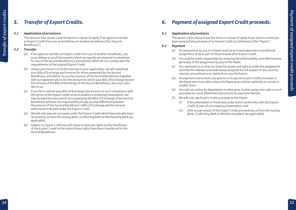### *5. Transfer of Export Credits.*

### *5.1 Application of provisions*

The terms in this *clause 5* and the terms in *clause 10* apply if we agree to transfer an Export Credit from you as beneficiary to another beneficiary (the 'Second Beneficiary').

### *5.2 Transfer*

*Transfer of export credits*

Transfer of export credits

- (a) If we agree to transfer an Export Credit from you to another beneficiary, you must deliver to us all Documents which we specify are required to substitute for any of the Second Beneficiary's Documents which do not comply with the requirements of the original Export Credit.
- (b) Unless you instruct us to the contrary in your application, we will substitute your Bills of Exchange and invoices for those presented by the Second Beneficiary, and deliver to you the invoices of the Second Beneficiary together with our payment advice for the amount by which your Bills of Exchange exceed the amount of the Bills of Exchange of the Second Beneficiary, less any Costs due to us.
- (c) If you fail to deliver your Bills of Exchange and invoices to us in compliance with the terms of the Export Credit so as to enable a Complying Presentation, we may forward the documents accompanying the Bills of Exchange of the Second Beneficiary without any responsibility to pay you the difference between the amount of the Second Beneficiary's Bills of Exchange and the amount authorised to be paid under the Export Credit.
- (d) We will only pay out proceeds under the Export Credit which have actually been received by us from the Issuing Bank, Confirming Bank or Reimbursing Bank (as applicable).
- (e) Subject to *clause 5.2(b)* you will cease to have any rights as the beneficiary of the Export Credit to the extent those rights have been transferred to the Second Beneficiary.

### *6. Payment of assigned Export Credit proceeds.*

### *6.1 Application of provisions*

The terms in this *clause 6* and the terms in *clause 10* apply if you advise us that you have assigned the proceeds of an Export Credit to a third party (the 'Payee').

### *6.2 Payment*

- (a) An assignment by you to a Payee must be an irrevocable and unconditional assignment of all or part of the proceeds of an Export Credit.
- (b) You shall be solely responsible for ensuring the enforceability and effectiveness generally of the assignment by you to the Payee.
- (c) You represent to us that you have the power and right to make the assignment and that the relevant proceeds being assigned are not subject to any security interest, encumbrance or claims from any third party.
- (d) All payment instructions you give to us to pay the Export Credit proceeds to the Payee are irrevocable unless the Payee gives written authority to cancel or modify them.
- (e) You will not, either by Negotiation or otherwise, further assign any right to such proceeds nor issue additional instructions for payment thereof.
- (f) We will only pay Export Credit proceeds to the Payee:
	- (i) if documentation is Presented under and in conformity with the Export Credit as part of a Complying Presentation; and
	- (ii) after actual receipt of the Export Credit proceeds by us from the Issuing Bank, Confirming Bank or Reimbursing Bank (as applicable).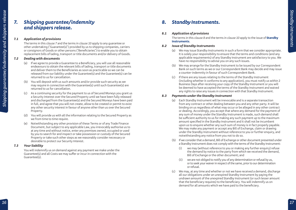### *7. Shipping guarantee/indemnity and shippers release.*

### *7.1 Application of provisions*

The terms in this *clause 7* and the terms in *clause 10* apply to any guarantee or other undertaking ('Guarantee(s)') provided by us to shipping companies, carriers or consignors of Goods or other persons ('Beneficiaries') to enable you to obtain replacement bills of lading, transport or title documents and/or delivery of Goods.

### *7.2 Dealing with documents*

- (a) If we agree to provide a Guarantee to a Beneficiary, you will use all reasonable endeavours to obtain the relevant bills of lading, transport or title documents and deliver them to the Beneficiaries as soon as practicable so we can be released from our liability under the Guarantee(s) and the Guarantee(s) can be returned to us for cancellation.
- (b) You will deposit with us such amounts and/or provide such security as we may require in connection with the Guarantee(s) until such Guarantee(s) are returned to us for cancellation.
- (c) As a continuing security for the payment to us of Secured Moneys you grant us a Security Interest over the Secured Property until we have been fully released and discharged from the Guarantee(s) and the Secured Moneys have been paid in full, and agree that you will not create, allow to be created or permit to exist any other security interest in favour of anyone other than us over the Secured Property.
- (d) You will provide us with all the information relating to the Secured Property as we from time to time require.
- (e) Notwithstanding any other provision of these Terms or of any Trade Finance Document, but subject to any applicable Law, you irrevocably authorise us to at any time and without notice, enter any premises owned, occupied or used by you to search for and inspect or take possession or custody of the Secured Property or take such other steps as we reasonably consider necessary or desirable to protect our Security Interest.

### *7.3 Your liability*

You will indemnify us on demand against any payment we make under the Guarantee(s) and all Costs we may suffer or incur in connection with the Guarantee(s).

### *8. Standby Instruments.*

### *8.1 Application of provisions*

The terms in this *clause 8* and the terms in *clause 10* apply to the issue of **Standby Instruments**.

### *8.2 Issue of Standby Instruments*

- (a) We may issue Standby Instruments in such a form that we consider appropriate. It is solely your responsibility to ensure that the terms and conditions (and any applicable requirements) of any Standby Instrument are satisfactory to you. We have no responsibility to advise you on any such issues.
- (b) We may arrange for the Standby Instrument to be issued by our Correspondent Bank on such terms as we or our Correspondent Bank may decide and may issue a counter-indemnity in favour of such Correspondent Bank.
- (c) If there are any issues relating to the terms of the Standby Instrument (including whether it conforms to any application), you must notify us within 2 Business Days after receiving your copy of the Standby Instrument or you will be deemed to have accepted the terms of the Standby Instrument and waived any rights to raise any issues in connection with that Standby Instrument.

### *8.3 Payments under the Standby Instrument*

- (a) Each Standby Instrument will be irrevocable and is a separate transaction from any contract or other dealing between you and any other party. It will be binding on us regardless of what may occur or be alleged in any other contract or dealing. Accordingly, you accept that where any demand for the payment of any sum of money under the Standby Instrument is made, such demand shall be sufficient authority to us for making any such payment up to the maximum amount specified in the Standby Instrument and it shall not be incumbent upon us to enquire whether any such sum of money is in fact properly payable. We may make any payment or accept any Bill of Exchange, claim or drawing under the Standby Instrument without reference to you or further enquiry, and notwithstanding any notice from you not to do so.
- (b) If we consider that a demand, Bill of Exchange or other document presented under a Standby Instrument does not comply with the terms of the Standby Instrument:
	- we may (without reference to you or making any further enquiry) refuse the demand by notice to the party from which we received the demand, Bill of Exchange or the other document; and
	- (ii) we are not obliged to notify you of any determination or refusal by us, or to seek your waiver in respect of the same, prior to our determination or refusal.
- (c) We may, at any time and whether or not we have received a demand, discharge all our obligations under an unexpired Standby Instrument by paying the undrawn amount of the unexpired Standby Instrument (or such lesser amount that the beneficiary requires) to the beneficiary. You will indemnify us on demand for all amounts which we have paid to the beneficiary.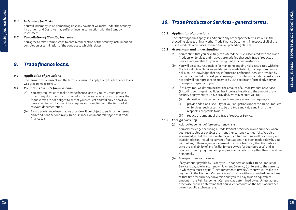### *8.4 Indemnity for Costs*

You will indemnify us on demand against any payment we make under the Standby Instrument and Costs we may suffer or incur in connection with the Standby Instrument.

### *8.5 Cancellation of Standby Instrument*

You agree to take prompt steps to obtain cancellation of the Standby Instrument on completion or termination of the contract to which it relates.

### *9. Trade finance loans.*

### *9.1 Application of provisions*

The terms in this *clause 9* and the terms in *clause 10* apply to any trade finance loans we agree to make to you.

### *9.2 Conditions to trade finance loans*

- (a) You may request us to make a trade finance loan to you. You must provide us with any documents and other information we require for us to assess the request. We are not obliged to accept your request and will only do so if you have executed all documents we require and complied with the terms of all relevant documentation.
- (b) Each trade finance loan that we provide will be subject to such further terms and conditions set out in any Trade Finance Document relating to that trade finance loan.

### *10. Trade Products or Services - general terms.*

### *10.1 Application of provisions*

The following terms apply, in addition to any other specific terms set out in the preceding clauses or in any other Trade Finance Document, in respect of all of the Trade Products or Services referred to in all preceding clauses.

### *10.2 Assessment and understanding*

- (a) You confirm that you have fully considered the risks associated with the Trade Products or Services and that you are satisfied that such Trade Products or Services are suitable for you in the light of your circumstances.
- (b) You will be solely responsible for managing ongoing risks associated with the Trade Products or Services and decisions made to limit, manage or minimise risks. You acknowledge that any information or financial service provided by us that is intended to assist you in managing the inherent additional risks does not and will not represent an attempt by us to act in any form of advisory or managerial capacity to you.
- (c) If, at any time, we determine that the amount of a Trade Product or Service (including contingent liabilities) has increased relative to the amount of any security or payment you have provided, we may require you to:
	- (i) deposit with us on demand such amounts as we may require; or
	- (ii) provide additional security for your obligations under the Trade Products or Services, such security to be of a type and value and in all other respects acceptable to us; or
	- (iii) reduce the amount of the Trade Product or Service.

### *10.3 Foreign currency*

(a) Acknowledgement of foreign currency risks

*<sup>18</sup> <sup>19</sup>Trade products or services - general terms* You acknowledge that using a Trade Product or Service in one currency where your receivables or payables are in another currency carries risks. You also acknowledge that the decision to make such transactions and the consequent associated risks, including currency fluctuations, has been made solely by you without any influence, encouragement or advice from us (other than advice as to the availability of any facility for use by you for your purposes) and in reliance on your judgment and your professional advisors (other than us and our personnel).

(b) Foreign currency conversion

 If any amount payable by us or by you in connection with a Trade Product or Service is payable in a currency ('Payment Currency') different to the currency in which you must pay us ('Reimbursement Currency') then we will make the payment in the Payment Currency in accordance with our standard procedures at that time for currency conversion and you will pay to us an equivalent amount in the Reimbursement Currency, as determined by us. Unless agreed otherwise, we will determine that equivalent amount on the basis of our then current public exchange rate.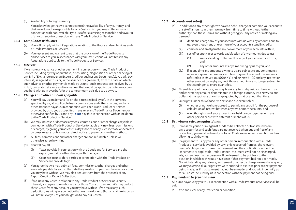### (c) Availability of foreign currency

 You acknowledge that we cannot control the availability of any currency, and that we will not be responsible for any Costs which you may suffer or incur in connection with non-availability to us (after exercising reasonable endeavours) of any currency in connection with any Trade Product or Service.

### *10.4 Compliance with Laws*

- (a) You will comply with all Regulations relating to the Goods and/or Services and/ or Trade Products or Services.
- (b) You represent and warrant to us that the provision of the Trade Products and Services to you in accordance with your instructions will not breach any Regulations applicable to the Trade Products or Services.

### *10.5 Interest*

If we make any advance or other payment in connection with any Trade Product or Service including by way of purchase, discounting, Negotiation or other financing of any Bill of Exchange under an Export Credit or against any Document(s), you will pay interest, as agreed with us or, in the absence of agreement, from the date on which such advance or other payment is made by us until such amounts are received by us in full, calculated at a rate and in a manner that would be applied by us to an account you hold with us in overdraft for the same amount as is due to us by you.

### *10.6 Charges and other amounts payable*

- (a) You will pay us on demand (or on the date specified by us), in the currency specified by us, all applicable fees, commissions and other charges, and any other amounts payable, in connection with each Trade Product or Service provided by us to you as specified in any relevant Trade Finance Document or otherwise notified by us and any **Taxes** payable in connection with or incidental to the Trade Product or Service.
- (b) We may increase or decrease any fees, commissions or other charges payable in connection with a Trade Product or Service (or apply any new fees, commissions or charges) by giving you at least 14 days' notice of any such increase or decrease by press release, public notice, direct notice to you or by any other method.
- (c) All fees, commissions and other charges are non refundable unless we otherwise agree in writing.
- (d) You will pay all:
	- (i) Taxes payable in connection with the Goods and/or Services and the export, import or other dealing with Goods; and
	- (ii) Costs we incur to third parties in connection with the Trade Product or Service we provide to you.
- (e) You agree that we may debit all fees, commissions, other charges and other amounts payable by you on the date they are due for payment from any account you may have with us. We may also deduct them from the proceeds of any Export Credit or Export Collection.
- (f) If we incur any Costs in relation to any Trade Product or Service or Security Interest, you agree to reimburse us for those Costs on demand. We may deduct those Costs from any account you may have with us. If we make any such deduction, we will give you notice that we have done so (but any failure to do so will not relieve you of your obligation to pay our Costs).

### *10.7 Accounts and set-off*

- (a) In addition to any other right we have to debit, charge or combine your accounts or set-off amounts in them, we may, from time to time without further authority than these Terms and without giving you any notice or making any demand:
	- (i) debit and charge any of your accounts with us with any amounts due to us, even though any one or more of your accounts stand in credit;
	- (ii) combine and amalgamate any two or more of your accounts with us;
	- (iii) set-off or apply in or towards satisfaction of any amounts due to us:
		- (1) sums standing to the credit of any of your accounts with us; and
		- (2) any other amounts at any time owing by us to you; and
	- (iv) if at any time any amounts owing to us are subject to any contingency or are not quantified we may withhold payment of any of the amounts referred to in *clause 10.7(a)(iii)(1)* and *10.7(a)(iii)(2)* and any interest or other amount owing by us, until those amounts are no longer subject to that contingency or are quantified.
- (b) To enable any of the above, we may break any term deposit you have with us and convert any amount denominated in a foreign currency into New Zealand dollars at the spot rate of exchange quoted by us at or about that time.
- (c) Our rights under this *clause 10.7* exist and are exercisable:
	- (i) whether or not we have agreed to permit any set-off for the purpose of calculation of interest between any two or more accounts; and
	- even though any of your accounts are held by you together with any other person or are with different branches of us.

### *10.8 Drawing or release against funds*

- (a) If we allow you to draw against funds to be collected or transferred from any account(s), and such funds are not received when due and free of any restriction, you must indemnify us for all Costs we incur in connection with us allowing such drawing.
- (b) If a payment to us by you or any other person in connection with a Trade Product or Service is avoided by Law, or is recovered from us, the relevant person's obligation to make that payment and their obligations under the Documents or applicable Trade Finance Documents will not be discharged. We, you and each other person will be deemed to be put back to the position in which each would have been if that payment had not been made. Notwithstanding any release, settlement or other discharge we may have given, we may exercise all our rights we were entitled to exercise prior to that payment being made, as if that payment had not been made, and you will indemnify us for all Costs incurred by us in connection with the payment not being final.

### *10.9 Payments to be free and clear*

All sums payable by you to us in connection with a Trade Product or Service shall be paid:

(a) free and clear of any restriction or condition;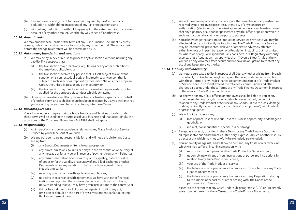- (b) free and clear of and (except to the extent required by Law) without any deduction or withholding on account of any Tax or Regulations; and
- (c) without any deduction or withholding (except to the extent required by Law) on account of any other amount, whether by way of set-off or otherwise.

#### *10.10 Amendments*

We may amend these Terms or the terms of any Trade Finance Document by press release, public notice, direct notice to you or by any other method. The notice period before the change takes effect will be determined by us.

### *10.11 Anti-money laundering and sanctions*

- (a) We may delay, block or refuse to process any transaction without incurring any liability if we suspect that:
	- (i) the transaction may breach any Regulations or any other prohibitions that may be applicable to us;
	- (ii) the transaction involves any person that is itself subject to a relevant sanction or is connected, directly or indirectly, to any person that is subject to such sanctions imposed by the United Nations, the European Union, the United States, or any other country; or
	- (iii) the transaction may directly or indirectly involve the proceeds of, or be applied for the purposes of, conduct which is Unlawful.
- (b) Unless you have disclosed that you are acting in a trustee capacity or on behalf of another party, and such disclosure has been accepted by us, you warrant that you are acting on your own behalf in entering into these Terms.

### *10.12 Business purposes*

You acknowledge and agree that the Trade Products and Services provided under these Terms will be used for the purposes of your business and that, accordingly, the provisions of the Consumer Guarantees Act 1993 shall not apply.

### *10.13 Responsibility*

- (a) All instructions and correspondence relating to any Trade Product or Service utilised by you will be sent at your risk.
- (b) We and our agents are not responsible for, and will not be liable for any Costs arising from:
	- (i) any Goods, Documents or items in our possession;
	- (ii) any errors, omissions, failures or delays in the transmission or delivery of any message or for any delay in receipt of payment from any third party;
	- (iii) any misrepresentation or error as to quantity, quality, nature or value of goods or for the validity or accuracy of any Bill of Exchange or other Documents or for any variation in the instructions agreed to by a Negotiating bank;
	- (iv) us acting in accordance with applicable Regulations;
	- (v) us acting in accordance with agreements we have with other financial institutions regarding the business dealings with those institutions, notwithstanding that you may have given instructions to the contrary; or
	- (vi) things beyond the control of us or our agents, including any act, omission or default on the part of any Correspondent Bank, Collecting Bank or settlement bank.
- (c) We will have no responsibility to investigate the correctness of any instruction received by us or to investigate the authenticity of any signature or authorisation (electronic or otherwise) appearing upon any such instruction or that any signatory or authoriser possesses any title, office or position which in such instruction s/he claims or purports to possess.
- (d) You acknowledge that any Trade Product or Service we provide to you may be affected directly or indirectly by Regulations. The Trade Products or Services may be interrupted, prevented, delayed or otherwise adversely affected, either in whole or in part, by reason of a Regulation including, but not limited to, where we or any Correspondent Bank considers, or a Regulatory Authority asserts, that a Regulation may apply (each an 'Adverse Effect'). It is entirely your risk if any Adverse Effect occurs and we have no obligation to contest any act of any Regulatory Authority.

### *10.14 Liability and indemnity*

- (a) Our total aggregate liability in respect of all Costs, whether arising from breach of contract, tort (including negligence) or otherwise, under or in connection with these Terms or any Trade Finance Document in respect of a Trade Product or Service, shall in no event exceed the total fees, commissions and other charges paid to us under these Terms or any Trade Finance Document in respect of the relevant Trade Product or Service.
- (b) Neither we nor any of our officers or employees shall be liable to you or any other person for any loss, damage or delay, however caused, under or in relation to any Trade Product or Service or any Goods, unless the loss, damage or delay is directly caused by our (or our officers' or employees') wilful default or gross negligence.
- (c) We will not be liable for any:
	- (i) loss of profit, loss of revenue, loss of business opportunity, or damage to goodwill; or
	- (ii) indirect, consequential or special loss or damage.
- (d) Except as expressly provided in these Terms or any Trade Finance Document, all representations and warranties (statutory, express, implied or otherwise) by us except any which may not Lawfully be excluded, are excluded.
- (e) You indemnify us against, and will pay on demand, any Costs of whatever kind which we may suffer or incur in connection with:
	- (i) us providing or not providing the Trade Product or Service to you;
	- (ii) us complying with any of your instructions or purported instructions in relation to any Trade Product or Service;
	- (iii) your use of the Trade Product or Service;
	- (iv) the failure of you or your agents to comply with these Terms or any Trade Finance Documents; or
	- (v) the failure of you or your agents to comply with any Regulation relating to the import or export of, or other dealing with, the Goods or the performance of Services,

 except to the extent that any Costs under sub-paragraphs (i), (ii) or (iii) directly arise from our breach of these Terms or any Trade Finance Documents.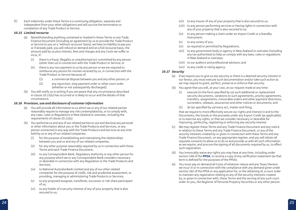(f) Each indemnity under these Terms is a continuing obligation, separate and independent from your other obligations and will survive the termination or completion of any Trade Product or Service.

### *10.15 Limited recourse*

- (a) Notwithstanding anything contained or implied in these Terms or any Trade Finance Document (including an agreement by us to provide the Trade Product or Service to you on a 'without recourse' basis), we have no liability to pay you or if already paid, you will refund on demand and on a full recourse basis, the amount paid by us plus interest, fees and charges and any Costs we suffer or incur, if:
	- (i) there is a fraud, illegality or unauthorised act committed by any person (other than us) in connection with the Trade Product or Service; or
	- (ii) there is any non payment to us by any person or we are required to reimburse any person for monies received by us, in connection with the Trade Product or Service because of:
		- (1) a commercial dispute between you and any other person; or
		- (2) any injunction, stop payment order or other court order (whether or not subsequently discharged).
- (b) You will notify us in writing if you are aware that any circumstance described in *clause 10.15(a)* has occurred or is likely to occur and the details of that circumstance.

### *10.16 Provision, use and disclosure of customer information*

- (a) You will provide all information to us which we or any of our related parties reasonably require to manage any risk contemplated by, or to comply with, any Laws, rules or Regulations in New Zealand or overseas, including the requirements of *clause 10.11(a)*.
- (b) You authorise us and any of our related parties to use and disclose any personal or other information about you or the Trade Products and Services, or any person connected in any way with the Trade Products and Services at any time held by us or any of our related companies:
	- (i) for the purpose of establishing and maintaining the relationships between you and us and any of our related companies;
	- (ii) for any other purpose reasonably required by us in connection with these Terms and each Trade Finance Document;
	- (iii) to any Correspondent Bank, Regulatory Authority or any other person for any purpose which we or any Correspondent Bank considers necessary or desirable in connection with any Regulation or the Trade Products and Services;
	- (iv) to National Australia Bank Limited and any of our other related companies for the purpose of credit, risk and prudential assessment, or providing, managing or administering Trade Products or Services;
	- (v) to any proposed assignee, transferee, successor or risk share participant of us;
	- (vi) to any holder of a security interest of any of your property that is also secured to us;
- (vii) to any insurer of any of your property that is also secured to us;
- (viii) to any person performing services or having rights in connection with any of your property that is also secured to us;
- (ix) to any person making a claim under an Import Credit or a Standby Instrument;
- (x) to any surety of you;
- (xi) as required or permitted by Regulations;
- (xii) to any government body or agency in New Zealand or overseas (including any tax authorities) to help us comply with any laws, rules or regulations in New Zealand or overseas;
- (xiii) to our auditors and professional advisors; and
- (xiv) to any credit or rating agency.

### *10.17 Security*

- (a) If we require you to give us any security or there is a deemed security interest in our favour, you must execute such documentation and/or take such action as we may require to grant, perfect, preserve or enforce that security.
- (b) You agree that you will, at your cost, at our request made at any time:
	- (i) execute (in the form specified by us) such additional or replacement security documents, variations to such agreements, priority agreements, transfers, assignments, irrevocable orders and other payment directions, surrenders, releases, assurances and other notices or documents; and
	- (ii) do (as specified by us) every act, matter and thing,

 that we require to more effectively secure our rights and interest in and to the Documents, the Goods or the proceeds under any Export Credit (as applicable), or to exercise any rights, or that we consider necessary or desirable for improving, perfecting, registering or enforcing any security interest.

- (c) We may register these Terms and any Trade Finance Document and any notice in relation to these Terms and any Trade Finance Document, or any of the security interests created by or given in connection with these Terms and any Trade Finance Document, on any appropriate register, and you will obtain all requisite consents to allow us to do so and provide us with all such information as we require, and procure the signing of all documents required by us, to effect such registration.
- (d) You irrevocably waive any rights you may have at any time, including under section 148 of the **PPSA**, to receive a copy of any verification statement (as that term is defined for the purposes of the PPSA).
- (e) You must pay on demand all Costs of whatever nature and any Taxes thereon we incur in or in connection with the compliance with any demand given under section 162 of the PPSA or any application for, or the obtaining of, a court order to maintain any registration relating to any of the security interests created by, or given in connection with, these Terms and the serving of any such court order on you, the Registrar of Personal Property Securities or any other person.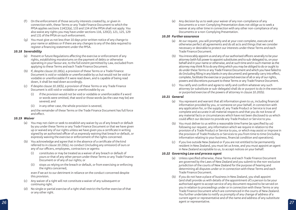- (f) On the enforcement of those security interests created by, or given in connection with, these Terms or any Trade Finance Document to which the PPSA applies sections 114(1)(a), 133 and 134 of the PPSA shall not apply. You also waive any rights you may have under sections 116, 120(2), 121, 125, 129 and 131 of the PPSA on such enforcement.
- (g) You must give us not less than 10 days prior written notice of any change to your name or address or if there are any changes to any of the data required to register a financing statement under the PPSA.

### *10.18 Severability*

- (a) Present or future Regulations affecting the exercise or enforcement of any rights, establishing moratoriums on the payment of debts or otherwise operating in your favour are, to the full extent permitted by Law, excluded from applying to these Terms and each Trade Finance Document.
- (b) If, despite *clause 10.18(a)*, a provision of these Terms or a Trade Finance Document is void or voidable or unenforceable by us but would not be void or voidable or unenforceable if it were read down, and is capable of being read down, it shall be read down accordingly.
- (c) If despite *clause 10.18(b)*, a provision of these Terms or any Trade Finance Document is still void or voidable or unenforceable by us:
	- (i) if the provision would not be void or voidable or unenforceable if a word or words were omitted, that word or those words (as the case may be) are severed; and
	- (ii) in any other case, the whole provision is severed,

 and the remainder of these Terms or the Trade Finance Document has full force and effect.

### *10.19 Waiver*

- (a) You may not claim or seek to establish any waiver by us of any breach or default by you under these Terms or any Trade Finance Document or that we have given up or waived any of our rights unless we have given you a certificate in writing signed by an authorised officer of us expressly waiving that breach or default, or expressly waiving the exercise or enforcement of the rights concerned.
- (b) You acknowledge and agree that in the absence of a certificate of the kind referred to in *clause 10.19(a)*, no conduct (including any omission) of ours or any of our officers, employees, contractors or agents:
	- (i) constitutes or may be treated as a waiver of any breach or default of yours or that of any other person under these Terms or any Trade Finance Document or of any of our rights; or
	- (ii) stops us relying on the breach or default, or from exercising or enforcing the rights concerned,

 even if we act to our detriment in reliance on the conduct concerned despite this provision.

- (c) Any waiver of a right will not constitute a waiver of any subsequent or continuing right.
- (d) No single or partial exercise of a right shall restrict the further exercise of that or any other right.

(e) Any decision by us to seek your waiver of any non-compliance of any Documents or a non-Complying Presentation does not oblige us to seek a waiver at any other time in connection with any other non-compliance of any Documents or a non-Complying Presentation.

### *10.20 Further assurance*

- (a) At our request, you will promptly and at your cost complete, execute and otherwise perfect all agreements and do all acts and things that we consider necessary or desirable to protect our interests under these Terms and each Trade Finance Document.
- (b) You irrevocably appoint us and any of our authorised officers severally to be your attorney (with full power to appoint substitutes and to sub-delegate) to, on your behalf and in your name or otherwise, and at such time and in such manner as the attorney may think fit to do any thing which you may be obliged to do or ought to do under these Terms or any Trade Finance Document and which you have failed to do (including filling in any blanks in any document) and generally carry into effect, complete, facilitate the exercise or purported exercise of all or any of our rights, powers and discretions pursuant to these Terms or any Trade Finance Document.
- (c) You ratify and confirm and agree to ratify and confirm whatever any such attorney (or substitute or sub-delegate) shall do or purport to do in the exercise or purported exercise of the powers of attorney in *clause 10.20(b)*.

### *10.21 General*

- (a) You represent and warrant that all information given to us, including financial information provided by you, or someone on your behalf, in connection with any application for, or the supply of, any Trade Product or Service is true and complete and accurate in all material respects and that you do not know of any material facts or circumstances which have not been disclosed to us which could affect our decision to provide any Trade Product or Service to you.
- (b) You must deliver to us within a reasonable time frame (as specified by us) following our request, any information which we require in relation to the provision of a Trade Product or Service to you, or which may assist or improve in the provision of Trade Products or Services to you from time to time (including information relating to your business, financial condition and operations).
- (c) If you live outside New Zealand or if you are not entitled to be permanently resident in New Zealand, you must let us know, and you must appoint an agent in New Zealand acceptable to us, to accept notices on your behalf.

### *10.22 Governing Law and process agent*

- (a) Unless specified otherwise, these Terms and each Trade Finance Document are governed by the Laws of New Zealand and you submit to the non-exclusive jurisdiction of the courts of New Zealand for the purpose of hearing and determining all disputes under or in connection with these Terms and each Trade Finance Document.
- *26 27* (b) If you do not have a place of business in New Zealand, you shall appoint (and shall provide us with details of the appointment of) a person to be your authorised agent to accept service of any document required to be served on you in relation to proceedings under or in connection with these Terms or any Trade Finance Document which are commenced in the courts of New Zealand. You further undertake to notify us promptly of any change of address of a current agent or representative and of the name and address of any substitute agent or representative.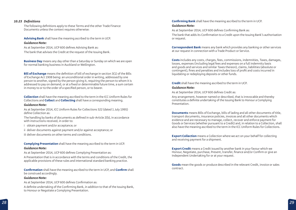### *10.23 Definitions*

The following definitions apply to these Terms and the other Trade Finance Documents unless the context requires otherwise:

**Advising Bank** shall have the meaning ascribed to the term in UCP. *Guidance Note:*

As at September 2014, UCP 600 defines Advising Bank as: The bank that advises the Credit at the request of the Issuing Bank.

**Business Day** means any day other than a Saturday or Sunday on which we are open for normal banking business in Auckland or Wellington.

**Bill of Exchange** means the definition of bill of exchange in section 3(1) of the Bills of Exchange Act 1908 being: an unconditional order in writing, addressed by one person to another, signed by the person giving it, requiring the person to whom it is addressed to pay on demand, or at a fixed or determinable future time, a sum certain in money to or to the order of a specified person, or to bearer.

**Collection** shall have the meaning ascribed to the term in the ICC Uniform Rules for Collections and **Collect** and **Collecting** shall have a corresponding meaning.

### *Guidance Note:*

As at September 2014, ICC Uniform Rules for Collections 522 (dated 1 July 1995) define Collection as:

The handling by banks of documents as defined in sub-Article 2(b), in accordance with instructions received, in order to:

- i obtain payment and/or acceptance; or
- ii deliver documents against payment and/or against acceptance; or
- iii deliver documents on other terms and conditions.

**Complying Presentation** shall have the meaning ascribed to the term in UCP. *Guidance Note:*

As at September 2014, UCP 600 defines Complying Presentation as: A Presentation that is in accordance with the terms and conditions of the Credit, the applicable provisions of these rules and international standard banking practice.

**Confirmation** shall have the meaning ascribed to the term in UCP, and **Confirm** shall be construed accordingly.

#### *Guidance Note:*

As at September 2014, UCP 600 defines Confirmation as:

A definite undertaking of the Confirming Bank, in addition to that of the Issuing Bank, to Honour or Negotiate a Complying Presentation.

**Confirming Bank** shall have the meaning ascribed to the term in UCP.

### *Guidance Note:*

As at September 2014, UCP 600 defines Confirming Bank as:

The bank that adds its Confirmation to a Credit upon the Issuing Bank's authorisation or request.

**Correspondent Bank** means any bank which provides any banking or other services at our request in connection with a Trade Product or Service.

**Costs** includes any costs, charges, fees, commissions, indemnities, Taxes, damages, losses, expenses (including legal fees and expenses on a full indemnity basis and goods and services and similar Taxes thereon), claims, liabilities (absolute or contingent), fines and penalties and includes loss of profit and costs incurred in liquidating or redeploying deposits or other funds.

### **Credit** shall have the meaning ascribed to the term in UCP.

### *Guidance Note:*

As at September 2014, UCP 600 defines Credit as:

Any arrangement, however named or described, that is irrevocable and thereby constitutes a definite undertaking of the Issuing Bank to Honour a Complying Presentation.

**Documents** means Bills of Exchange, bills of lading and all other documents of title, transport documents, insurance policies, invoices and all other documents which evidence and are necessary to manage, collect, recover and enforce payment for Goods or Services (whether pursuant to a Credit) and, in relation to a Collection, shall also have the meaning ascribed to the term in the ICC Uniform Rules for Collections.

**Export Collection** means a Collection where we act on your behalf for collecting and receiving payment for a shipment.

**Export Credit** means a Credit issued by another bank in your favour which we Honour, Negotiate, purchase, Present, transfer, finance and/or Confirm or give an Independent Undertaking for or at your request.

**Goods** mean the goods or produce described in the relevant Credit, invoice or sales contract.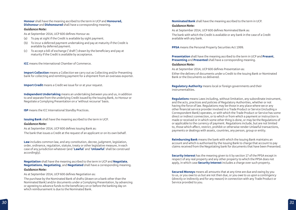**Honour** shall have the meaning ascribed to the term in UCP and **Honoured, Dishonour** and **Dishonoured** shall have a corresponding meaning.

#### *Guidance Note:*

As at September 2014, UCP 600 defines Honour as:

- (a) To pay at sight if the Credit is available by sight payment.
- (b) To incur a deferred payment undertaking and pay at maturity if the Credit is available by deferred payment.
- (c) To accept a bill of exchange ('draft') drawn by the beneficiary and pay at maturity if the Credit is available by acceptance.

**ICC** means the International Chamber of Commerce.

**Import Collection** means a Collection we carry out as Collecting and/or Presenting bank for collecting and remitting payment for a shipment from an overseas exporter.

**Import Credit** means a Credit we issue for or at your request.

**Independent Undertaking** means an undertaking between you and us, in addition to and separate from the underlying Credit issued by the Issuing Bank, to Honour or Negotiate a Complying Presentation on a 'without recourse' basis.

**ISP** means the ICC International Standby Practices.

**Issuing Bank** shall have the meaning ascribed to the term in UCP.

### *Guidance Note:*

As at September 2014, UCP 600 defines Issuing Bank as: The bank that issues a Credit at the request of an applicant or on its own behalf.

**Law** includes common law, and any constitution, decree, judgment, legislation, order, ordinance, regulation, statute, treaty or other legislative measure, in each case of any jurisdiction whatever (and '**Lawful**' and '**Unlawful**' shall be construed accordingly).

**Negotiation** shall have the meaning ascribed to the term in UCP and **Negotiate**, **Negotiations**, **Negotiating**, and **Negotiated** shall have a corresponding meaning. *Guidance Note:*

As at September 2014, UCP 600 defines Negotiation as:

The purchase by the Nominated Bank of drafts (drawn on a bank other than the Nominated Bank) and/or documents under a Complying Presentation, by advancing or agreeing to advance funds to the beneficiary on or before the banking day on which reimbursement is due to the Nominated Bank.

**Nominated Bank** shall have the meaning ascribed to the term in UCP.

### *Guidance Note:*

As at September 2014, UCP 600 defines Nominated Bank as: The bank with which the Credit is available or any bank in the case of a Credit available with any bank.

**PPSA** means the Personal Property Securities Act 1999.

**Presentation** shall have the meaning ascribed to the term in UCP and **Present**, **Presenting** and **Presented** shall have a corresponding meaning.

#### *Guidance Note:*

As at September 2014, UCP 600 defines Presentation as:

Either the delivery of documents under a Credit to the Issuing Bank or Nominated Bank or the Documents so delivered.

**Regulatory Authority** means local or foreign governments and their instrumentalities.

**Regulations** means Laws including, without limitation, any subordinate instrument, and the acts, practices and policies of Regulatory Authorities, whether or not having the force of law. Regulations may be those in any place where we or any other financial service provider involved in a Trade Product or Service (including a Correspondent Bank) operates, or with which the Trade Product or Service has some direct or indirect connection, or to which or from which a payment or instruction is made or received or in which some other thing is done, or may be the Regulations of or applicable to the currency of payment. Regulations include, but are not limited to, those which affect, restrict, prohibit or otherwise render Unlawful transactions, payments or dealings with assets, countries, any person, group or entity.

**Reimbursing Bank** means the bank with which the Issuing Bank maintains an account and which is authorised by the Issuing Bank to charge that account to pay claims received from the Negotiating bank for documents that have been Presented.

**Security Interest** has the meaning given to it by section 17 of the PPSA except in respect of any real property and any other property to which the PPSA does not apply, in which case **Security Interest** includes a charge over such property.

**Secured Moneys** means all amounts that at any time are due and owing by you to us, or you owe to us but are not then due, or you owe to us upon a contingency (directly or indirectly and for any reason) in connection with any Trade Product or Service provided to you.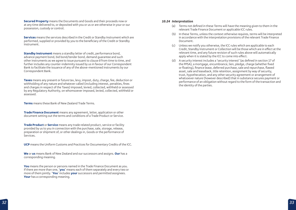**Secured Property** means the Documents and Goods and their proceeds now or at any time delivered to, or deposited with you or us or are otherwise in your or our possession, custody or control.

**Services** means the services described in the Credit or Standby Instrument which are performed, supplied or provided by you to the beneficiary of the Credit or Standby Instrument.

**Standby Instrument** means a standby letter of credit, performance bond, advance payment bond, bid bond/tender bond, demand guarantee and such other instruments as we agree to issue pursuant to *clause 8* from time to time, and further includes any counter-indemnity issued by us in favour of our Correspondent Bank to facilitate the issuance of any of the above-mentioned instruments by our Correspondent Bank.

**Taxes** means any present or future tax, levy, impost, duty, charge, fee, deduction or withholding of any nature and whatever called (including interest, penalties, fines and charges in respect of the Taxes) imposed, levied, collected, withheld or assessed by any Regulatory Authority, on whomsoever imposed, levied, collected, withheld or assessed.

**Terms** means these Bank of New Zealand Trade Terms.

**Trade Finance Document** means any agreement, letter, application or other document setting out the terms and conditions of a Trade Product or Service.

**Trade Product** or **Service** means any trade related product, service or facility provided by us to you in connection with the purchase, sale, storage, release, preparation or shipment of, or other dealings in, Goods or the performance of Services.

**UCP** means the Uniform Customs and Practices for Documentary Credits of the ICC.

**We** or **us** means Bank of New Zealand and our successors and assigns. **Our** has a corresponding meaning.

**You** means the person or persons named in the Trade Finance Document as you. If there are more than one, '**you**' means each of them separately and every two or more of them jointly. '**You**' includes **your** successors and permitted assignees. **Your** has a corresponding meaning.

#### *10.24 Interpretation*

- (a) Terms not defined in these Terms will have the meaning given to them in the relevant Trade Finance Document or applicable ICC rules.
- (b) In these Terms, unless the context otherwise requires, terms will be interpreted in accordance with the interpretation provisions of the relevant Trade Finance Document.
- (c) Unless we notify you otherwise, the ICC rules which are applicable to each Credit, Standby Instrument or Collection will be those which are in effect at the relevant time, and any future revision of such rules above will automatically apply when it is stated by the ICC to come into effect.
- (d) A security interest includes a 'security interest' (as defined in section 17 of the PPSA), a mortgage, encumbrance, lien, pledge, charge (whether fixed or floating), finance lease, deferred purchase, sale and repurchase, flawed asset, sale and leaseback, title retention, assignment by way of security, trust, hypothecation, and any other security agreement or arrangement of whatsoever nature (however described) that in substance secures payment or performance of an obligation without regard to the form of the transaction and the identity of the parties.